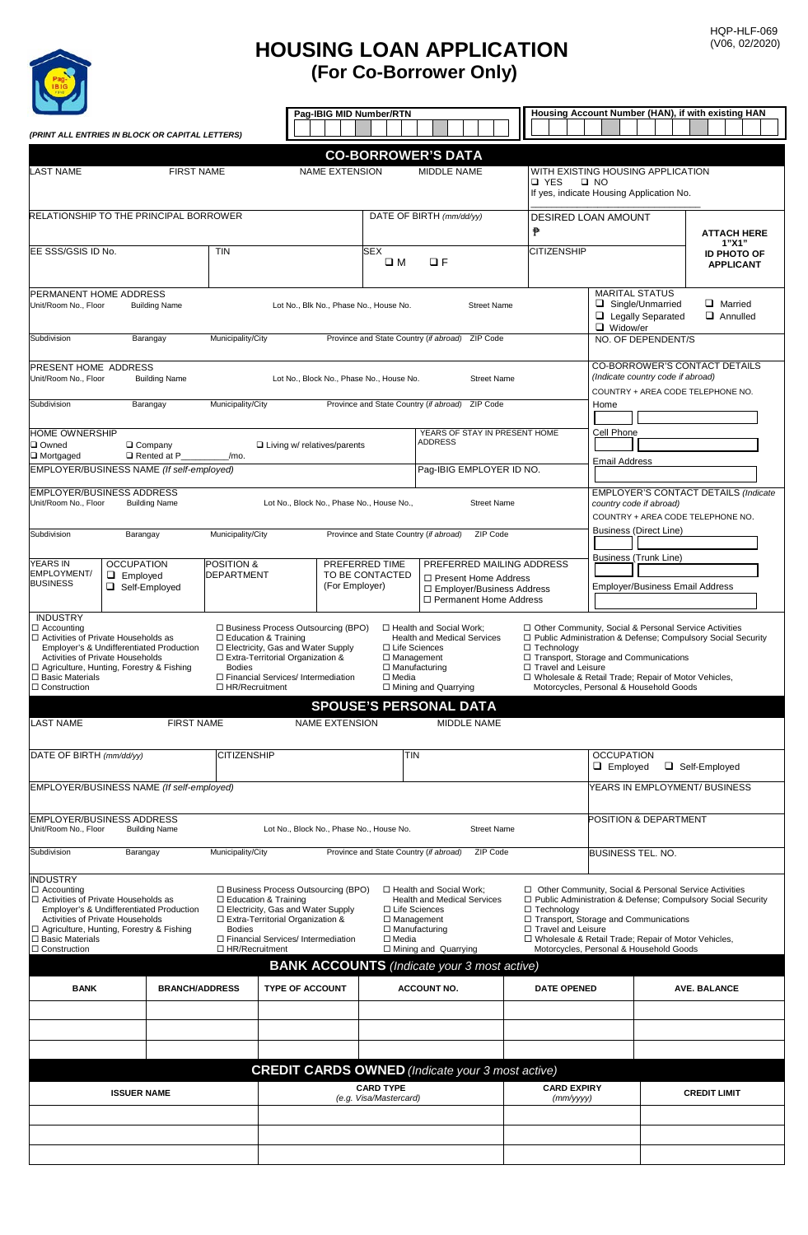

## **(For Co-Borrower Only) HOUSING LOAN APPLICATION**

|                                                                                                                                                                                                                                                                                                                  |                                                                                                     |                       |                                      | Pag-IBIG MID Number/RTN                                                                                                                                                                  |                                        |                                                                                   |                                                                                                                                                                                         |                                                                                                        | Housing Account Number (HAN), if with existing HAN |                                                                                                                                                                                                                                                                         |                    |                                                                    |  |
|------------------------------------------------------------------------------------------------------------------------------------------------------------------------------------------------------------------------------------------------------------------------------------------------------------------|-----------------------------------------------------------------------------------------------------|-----------------------|--------------------------------------|------------------------------------------------------------------------------------------------------------------------------------------------------------------------------------------|----------------------------------------|-----------------------------------------------------------------------------------|-----------------------------------------------------------------------------------------------------------------------------------------------------------------------------------------|--------------------------------------------------------------------------------------------------------|----------------------------------------------------|-------------------------------------------------------------------------------------------------------------------------------------------------------------------------------------------------------------------------------------------------------------------------|--------------------|--------------------------------------------------------------------|--|
| (PRINT ALL ENTRIES IN BLOCK OR CAPITAL LETTERS)                                                                                                                                                                                                                                                                  |                                                                                                     |                       |                                      |                                                                                                                                                                                          |                                        |                                                                                   |                                                                                                                                                                                         |                                                                                                        |                                                    |                                                                                                                                                                                                                                                                         |                    |                                                                    |  |
|                                                                                                                                                                                                                                                                                                                  |                                                                                                     |                       |                                      |                                                                                                                                                                                          |                                        |                                                                                   | <b>CO-BORROWER'S DATA</b>                                                                                                                                                               |                                                                                                        |                                                    |                                                                                                                                                                                                                                                                         |                    |                                                                    |  |
| <b>LAST NAME</b>                                                                                                                                                                                                                                                                                                 | <b>FIRST NAME</b>                                                                                   |                       | <b>NAME EXTENSION</b><br>MIDDLE NAME |                                                                                                                                                                                          |                                        |                                                                                   |                                                                                                                                                                                         | WITH EXISTING HOUSING APPLICATION<br>□ YES<br>$\square$ NO<br>If yes, indicate Housing Application No. |                                                    |                                                                                                                                                                                                                                                                         |                    |                                                                    |  |
| RELATIONSHIP TO THE PRINCIPAL BORROWER                                                                                                                                                                                                                                                                           |                                                                                                     |                       |                                      |                                                                                                                                                                                          |                                        |                                                                                   | DATE OF BIRTH (mm/dd/yy)<br>₱                                                                                                                                                           |                                                                                                        | <b>DESIRED LOAN AMOUNT</b>                         |                                                                                                                                                                                                                                                                         | <b>ATTACH HERE</b> |                                                                    |  |
| EE SSS/GSIS ID No.                                                                                                                                                                                                                                                                                               |                                                                                                     |                       | <b>TIN</b>                           |                                                                                                                                                                                          |                                        |                                                                                   | <b>SEX</b><br>$\Box F$<br>$\square$ M                                                                                                                                                   |                                                                                                        |                                                    | <b>CITIZENSHIP</b>                                                                                                                                                                                                                                                      |                    | 1"X1"<br><b>ID PHOTO OF</b><br><b>APPLICANT</b>                    |  |
| PERMANENT HOME ADDRESS<br>Unit/Room No., Floor<br><b>Building Name</b>                                                                                                                                                                                                                                           |                                                                                                     |                       |                                      |                                                                                                                                                                                          | Lot No., Blk No., Phase No., House No. | <b>Street Name</b>                                                                |                                                                                                                                                                                         | <b>MARITAL STATUS</b><br>Single/Unmarried<br>$\Box$ Widow/er                                           | $\Box$ Legally Separated                           | <b>Q</b> Married<br>$\Box$ Annulled                                                                                                                                                                                                                                     |                    |                                                                    |  |
| Municipality/City<br>Subdivision<br>Barangay                                                                                                                                                                                                                                                                     |                                                                                                     |                       |                                      | Province and State Country (if abroad)<br>ZIP Code                                                                                                                                       |                                        |                                                                                   |                                                                                                                                                                                         |                                                                                                        | NO. OF DEPENDENT/S                                 |                                                                                                                                                                                                                                                                         |                    |                                                                    |  |
| PRESENT HOME ADDRESS<br>Unit/Room No., Floor<br><b>Building Name</b>                                                                                                                                                                                                                                             |                                                                                                     |                       |                                      | Lot No., Block No., Phase No., House No.<br><b>Street Name</b>                                                                                                                           |                                        |                                                                                   |                                                                                                                                                                                         |                                                                                                        | (Indicate country code if abroad)                  |                                                                                                                                                                                                                                                                         |                    | CO-BORROWER'S CONTACT DETAILS<br>COUNTRY + AREA CODE TELEPHONE NO. |  |
| Municipality/City<br>Subdivision<br>Barangay                                                                                                                                                                                                                                                                     |                                                                                                     |                       |                                      | Province and State Country (if abroad)<br>ZIP Code                                                                                                                                       |                                        |                                                                                   |                                                                                                                                                                                         |                                                                                                        | Home                                               |                                                                                                                                                                                                                                                                         |                    |                                                                    |  |
| HOME OWNERSHIP<br>Owned<br>$\Box$ Company<br>□ Mortgaged<br>$\Box$ Rented at P<br>/mo.                                                                                                                                                                                                                           |                                                                                                     |                       |                                      | $\Box$ Living w/ relatives/parents                                                                                                                                                       |                                        |                                                                                   | YEARS OF STAY IN PRESENT HOME<br><b>ADDRESS</b>                                                                                                                                         |                                                                                                        |                                                    | Cell Phone<br>Email Address                                                                                                                                                                                                                                             |                    |                                                                    |  |
| EMPLOYER/BUSINESS NAME (If self-employed)                                                                                                                                                                                                                                                                        |                                                                                                     |                       |                                      |                                                                                                                                                                                          |                                        |                                                                                   | Paq-IBIG EMPLOYER ID NO.                                                                                                                                                                |                                                                                                        |                                                    |                                                                                                                                                                                                                                                                         |                    |                                                                    |  |
| <b>EMPLOYER/BUSINESS ADDRESS</b><br>Unit/Room No., Floor<br><b>Building Name</b>                                                                                                                                                                                                                                 |                                                                                                     |                       |                                      |                                                                                                                                                                                          |                                        | Lot No., Block No., Phase No., House No.,                                         | <b>Street Name</b>                                                                                                                                                                      |                                                                                                        |                                                    | EMPLOYER'S CONTACT DETAILS (Indicate<br>country code if abroad)<br>COUNTRY + AREA CODE TELEPHONE NO.<br><b>Business (Direct Line)</b>                                                                                                                                   |                    |                                                                    |  |
|                                                                                                                                                                                                                                                                                                                  | Municipality/City<br>Subdivision<br>Barangay                                                        |                       |                                      |                                                                                                                                                                                          |                                        | Province and State Country (if abroad)                                            | ZIP Code                                                                                                                                                                                |                                                                                                        |                                                    |                                                                                                                                                                                                                                                                         |                    |                                                                    |  |
| <b>YEARS IN</b><br>EMPLOYMENT/<br><b>BUSINESS</b>                                                                                                                                                                                                                                                                | <b>OCCUPATION</b><br><b>POSITION &amp;</b><br><b>DEPARTMENT</b><br>$\Box$ Employed<br>Self-Employed |                       |                                      | PREFERRED TIME<br>TO BE CONTACTED<br>(For Employer)                                                                                                                                      |                                        |                                                                                   | PREFERRED MAILING ADDRESS<br>□ Present Home Address<br>□ Employer/Business Address<br>□ Permanent Home Address                                                                          |                                                                                                        |                                                    | <b>Business (Trunk Line)</b><br><b>Employer/Business Email Address</b>                                                                                                                                                                                                  |                    |                                                                    |  |
| <b>INDUSTRY</b><br>□ Accounting<br>□ Activities of Private Households as<br>Employer's & Undifferentiated Production<br>Activities of Private Households<br>□ Agriculture, Hunting, Forestry & Fishing<br><b>Bodies</b><br>$\square$ Basic Materials<br>□ HR/Recruitment<br>$\Box$ Construction                  |                                                                                                     |                       |                                      | □ Business Process Outsourcing (BPO)<br>□ Education & Training<br>□ Electricity, Gas and Water Supply<br>□ Extra-Territorial Organization &<br>□ Financial Services/ Intermediation      |                                        | □ Life Sciences<br>$\Box$ Management<br>$\Box$ Manufacturing<br>$\Box$ Media      | □ Health and Social Work;<br><b>Health and Medical Services</b><br>□ Technology<br>□ Travel and Leisure<br>$\Box$ Mining and Quarrying<br><b>SPOUSE'S PERSONAL DATA</b>                 |                                                                                                        |                                                    | □ Other Community, Social & Personal Service Activities<br>□ Public Administration & Defense; Compulsory Social Security<br>□ Transport, Storage and Communications<br>□ Wholesale & Retail Trade; Repair of Motor Vehicles,<br>Motorcycles, Personal & Household Goods |                    |                                                                    |  |
| <b>LAST NAME</b>                                                                                                                                                                                                                                                                                                 |                                                                                                     | <b>FIRST NAME</b>     |                                      |                                                                                                                                                                                          | <b>NAME EXTENSION</b>                  |                                                                                   | <b>MIDDLE NAME</b>                                                                                                                                                                      |                                                                                                        |                                                    |                                                                                                                                                                                                                                                                         |                    |                                                                    |  |
| DATE OF BIRTH (mm/dd/yy)                                                                                                                                                                                                                                                                                         |                                                                                                     |                       | <b>CITIZENSHIP</b>                   |                                                                                                                                                                                          |                                        | TIN                                                                               |                                                                                                                                                                                         |                                                                                                        |                                                    | <b>OCCUPATION</b><br>□ Self-Employed<br>$\Box$ Employed                                                                                                                                                                                                                 |                    |                                                                    |  |
| EMPLOYER/BUSINESS NAME (If self-employed)                                                                                                                                                                                                                                                                        |                                                                                                     |                       |                                      |                                                                                                                                                                                          |                                        |                                                                                   |                                                                                                                                                                                         |                                                                                                        |                                                    |                                                                                                                                                                                                                                                                         |                    | YEARS IN EMPLOYMENT/ BUSINESS                                      |  |
| <b>EMPLOYER/BUSINESS ADDRESS</b><br>Unit/Room No., Floor<br><b>Building Name</b>                                                                                                                                                                                                                                 |                                                                                                     |                       |                                      | Lot No., Block No., Phase No., House No.<br><b>Street Name</b>                                                                                                                           |                                        |                                                                                   |                                                                                                                                                                                         |                                                                                                        |                                                    |                                                                                                                                                                                                                                                                         |                    | POSITION & DEPARTMENT                                              |  |
| Subdivision                                                                                                                                                                                                                                                                                                      | Barangay                                                                                            |                       | Municipality/City                    |                                                                                                                                                                                          |                                        | Province and State Country (if abroad)                                            | ZIP Code                                                                                                                                                                                |                                                                                                        |                                                    | <b>BUSINESS TEL. NO.</b>                                                                                                                                                                                                                                                |                    |                                                                    |  |
| <b>INDUSTRY</b><br>$\Box$ Accounting<br>$\Box$ Activities of Private Households as<br>Employer's & Undifferentiated Production<br><b>Activities of Private Households</b><br>□ Agriculture, Hunting, Forestry & Fishing<br><b>Bodies</b><br>$\square$ Basic Materials<br>$\Box$ Construction<br>□ HR/Recruitment |                                                                                                     |                       |                                      | □ Business Process Outsourcing (BPO)<br>$\Box$ Education & Training<br>□ Electricity, Gas and Water Supply<br>□ Extra-Territorial Organization &<br>□ Financial Services/ Intermediation |                                        | $\Box$ Life Sciences<br>$\Box$ Management<br>$\Box$ Manufacturing<br>$\Box$ Media | □ Health and Social Work;<br><b>Health and Medical Services</b><br>□ Technology<br>□ Travel and Leisure<br>□ Mining and Quarrying<br><b>BANK ACCOUNTS</b> (Indicate your 3 most active) |                                                                                                        |                                                    | □ Other Community, Social & Personal Service Activities<br>□ Public Administration & Defense; Compulsory Social Security<br>□ Transport, Storage and Communications<br>□ Wholesale & Retail Trade; Repair of Motor Vehicles,<br>Motorcycles, Personal & Household Goods |                    |                                                                    |  |
| <b>BANK</b>                                                                                                                                                                                                                                                                                                      |                                                                                                     | <b>BRANCH/ADDRESS</b> |                                      | <b>TYPE OF ACCOUNT</b>                                                                                                                                                                   |                                        |                                                                                   | <b>ACCOUNT NO.</b>                                                                                                                                                                      |                                                                                                        | <b>DATE OPENED</b>                                 |                                                                                                                                                                                                                                                                         |                    | <b>AVE. BALANCE</b>                                                |  |
|                                                                                                                                                                                                                                                                                                                  |                                                                                                     |                       |                                      |                                                                                                                                                                                          |                                        |                                                                                   |                                                                                                                                                                                         |                                                                                                        |                                                    |                                                                                                                                                                                                                                                                         |                    |                                                                    |  |
|                                                                                                                                                                                                                                                                                                                  |                                                                                                     |                       |                                      |                                                                                                                                                                                          |                                        |                                                                                   |                                                                                                                                                                                         |                                                                                                        |                                                    |                                                                                                                                                                                                                                                                         |                    |                                                                    |  |
|                                                                                                                                                                                                                                                                                                                  |                                                                                                     |                       |                                      |                                                                                                                                                                                          |                                        |                                                                                   | <b>CREDIT CARDS OWNED</b> (Indicate your 3 most active)                                                                                                                                 |                                                                                                        |                                                    |                                                                                                                                                                                                                                                                         |                    |                                                                    |  |
| <b>ISSUER NAME</b>                                                                                                                                                                                                                                                                                               |                                                                                                     |                       |                                      |                                                                                                                                                                                          |                                        | <b>CARD TYPE</b><br>(e.g. Visa/Mastercard)                                        |                                                                                                                                                                                         |                                                                                                        | <b>CARD EXPIRY</b><br>(mm/yyyy)                    |                                                                                                                                                                                                                                                                         |                    | <b>CREDIT LIMIT</b>                                                |  |
|                                                                                                                                                                                                                                                                                                                  |                                                                                                     |                       |                                      |                                                                                                                                                                                          |                                        |                                                                                   |                                                                                                                                                                                         |                                                                                                        |                                                    |                                                                                                                                                                                                                                                                         |                    |                                                                    |  |
|                                                                                                                                                                                                                                                                                                                  |                                                                                                     |                       |                                      |                                                                                                                                                                                          |                                        |                                                                                   |                                                                                                                                                                                         |                                                                                                        |                                                    |                                                                                                                                                                                                                                                                         |                    |                                                                    |  |